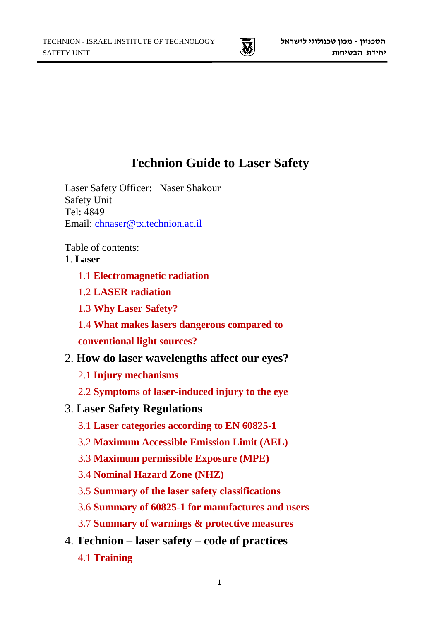

# **Technion Guide to Laser Safety**

Laser Safety Officer: Naser Shakour Safety Unit Tel: 4849 Email: [chnaser@tx.technion.ac.il](mailto:chnaser@tx.technion.ac.il)

Table of contents:

# 1. **Laser**

- 1.1 **Electromagnetic radiation**
- 1.2 **LASER radiation**
- 1.3 **Why Laser Safety?**
- 1.4 **What makes lasers dangerous compared to**

**conventional light sources?**

# 2. **How do laser wavelengths affect our eyes?**

- 2.1 **Injury mechanisms**
- 2.2 **Symptoms of laser-induced injury to the eye**

# 3. **Laser Safety Regulations**

- 3.1 **Laser categories according to EN 60825-1**
- 3.2 **Maximum Accessible Emission Limit (AEL)**
- 3.3 **Maximum permissible Exposure (MPE)**
- 3.4 **Nominal Hazard Zone (NHZ)**
- 3.5 **Summary of the laser safety classifications**
- 3.6 **Summary of 60825-1 for manufactures and users**
- 3.7 **Summary of warnings & protective measures**
- 4. **Technion – laser safety – code of practices**
	- 4.1 **Training**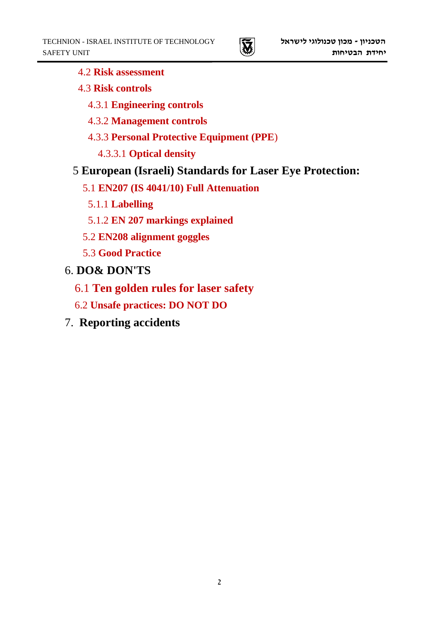- 4.2 **Risk assessment**
- 4.3 **Risk controls**
	- 4.3.1 **Engineering controls**
	- 4.3.2 **Management controls**
	- 4.3.3 **Personal Protective Equipment (PPE**)
		- 4.3.3.1 **Optical density**
- 5 **European (Israeli) Standards for Laser Eye Protection:**
	- 5.1 **EN207 (IS 4041/10) Full Attenuation**
		- 5.1.1 **Labelling**
		- 5.1.2 **EN 207 markings explained**
	- 5.2 **EN208 alignment goggles**
	- 5.3 **Good Practice**
- 6. **DO& DON'TS**
	- 6.1 **Ten golden rules for laser safety**
	- 6.2 **Unsafe practices: DO NOT DO**
- 7. **Reporting accidents**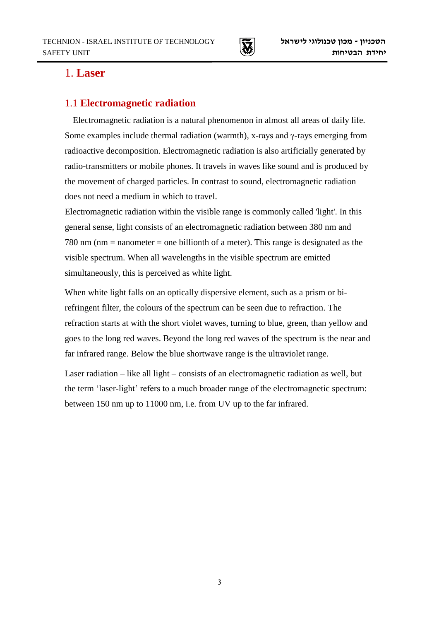

# 1. **Laser**

### 1.1 **Electromagnetic radiation**

Electromagnetic radiation is a natural phenomenon in almost all areas of daily life. Some examples include thermal radiation (warmth), x-rays and γ-rays emerging from radioactive decomposition. Electromagnetic radiation is also artificially generated by radio-transmitters or mobile phones. It travels in waves like sound and is produced by the movement of charged particles. In contrast to sound, electromagnetic radiation does not need a medium in which to travel.

Electromagnetic radiation within the visible range is commonly called 'light'. In this general sense, light consists of an electromagnetic radiation between 380 nm and 780 nm (nm = nanometer = one billionth of a meter). This range is designated as the visible spectrum. When all wavelengths in the visible spectrum are emitted simultaneously, this is perceived as white light.

When white light falls on an optically dispersive element, such as a prism or birefringent filter, the colours of the spectrum can be seen due to refraction. The refraction starts at with the short violet waves, turning to blue, green, than yellow and goes to the long red waves. Beyond the long red waves of the spectrum is the near and far infrared range. Below the blue shortwave range is the ultraviolet range.

Laser radiation – like all light – consists of an electromagnetic radiation as well, but the term 'laser-light' refers to a much broader range of the electromagnetic spectrum: between 150 nm up to 11000 nm, i.e. from UV up to the far infrared.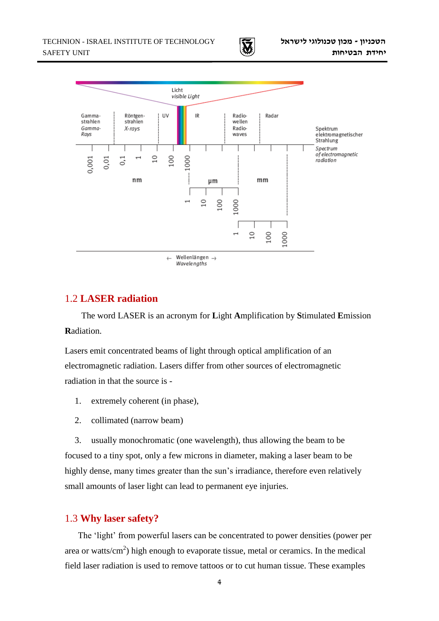



### 1.2 **LASER radiation**

The word LASER is an acronym for **L**ight **A**mplification by **S**timulated **E**mission **R**adiation.

Lasers emit concentrated beams of light through optical amplification of an electromagnetic radiation. Lasers differ from other sources of electromagnetic radiation in that the source is -

- 1. extremely coherent (in phase),
- 2. collimated (narrow beam)

3. usually monochromatic (one wavelength), thus allowing the beam to be focused to a tiny spot, only a few microns in diameter, making a laser beam to be highly dense, many times greater than the sun's irradiance, therefore even relatively small amounts of laser light can lead to permanent eye injuries.

#### 1.3 **Why laser safety?**

The 'light' from powerful lasers can be concentrated to power densities (power per area or watts/ $\text{cm}^2$ ) high enough to evaporate tissue, metal or ceramics. In the medical field laser radiation is used to remove tattoos or to cut human tissue. These examples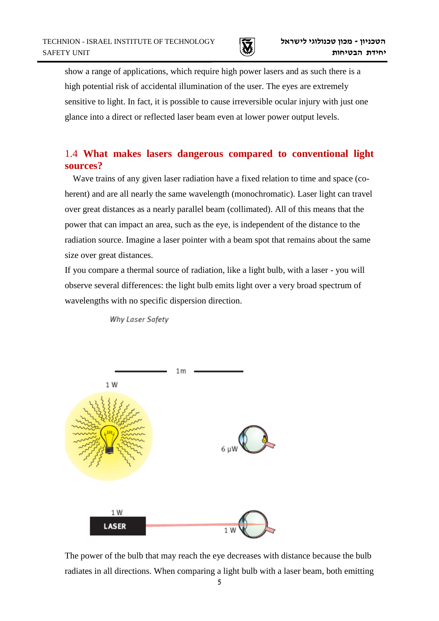

show a range of applications, which require high power lasers and as such there is a high potential risk of accidental illumination of the user. The eyes are extremely sensitive to light. In fact, it is possible to cause irreversible ocular injury with just one glance into a direct or reflected laser beam even at lower power output levels.

## 1.4 **What makes lasers dangerous compared to conventional light sources?**

Wave trains of any given laser radiation have a fixed relation to time and space (coherent) and are all nearly the same wavelength (monochromatic). Laser light can travel over great distances as a nearly parallel beam (collimated). All of this means that the power that can impact an area, such as the eye, is independent of the distance to the radiation source. Imagine a laser pointer with a beam spot that remains about the same size over great distances.

If you compare a thermal source of radiation, like a light bulb, with a laser - you will observe several differences: the light bulb emits light over a very broad spectrum of wavelengths with no specific dispersion direction.

Why Laser Safety



The power of the bulb that may reach the eye decreases with distance because the bulb radiates in all directions. When comparing a light bulb with a laser beam, both emitting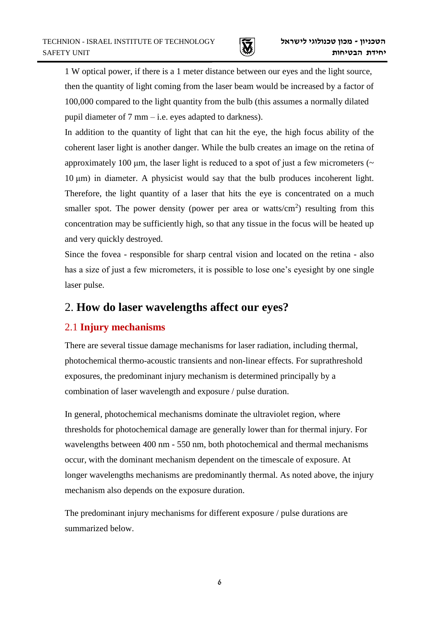

1 W optical power, if there is a 1 meter distance between our eyes and the light source, then the quantity of light coming from the laser beam would be increased by a factor of 100,000 compared to the light quantity from the bulb (this assumes a normally dilated pupil diameter of 7 mm – i.e. eyes adapted to darkness).

In addition to the quantity of light that can hit the eye, the high focus ability of the coherent laser light is another danger. While the bulb creates an image on the retina of approximately 100  $\mu$ m, the laser light is reduced to a spot of just a few micrometers ( $\sim$ 10 μm) in diameter. A physicist would say that the bulb produces incoherent light. Therefore, the light quantity of a laser that hits the eye is concentrated on a much smaller spot. The power density (power per area or watts/ $\rm cm^2$ ) resulting from this concentration may be sufficiently high, so that any tissue in the focus will be heated up and very quickly destroyed.

Since the fovea - responsible for sharp central vision and located on the retina - also has a size of just a few micrometers, it is possible to lose one's eyesight by one single laser pulse.

# 2. **How do laser wavelengths affect our eyes?**

# 2.1 **Injury mechanisms**

There are several tissue damage mechanisms for laser radiation, including thermal, photochemical thermo-acoustic transients and non-linear effects. For suprathreshold exposures, the predominant injury mechanism is determined principally by a combination of laser wavelength and exposure / pulse duration.

In general, photochemical mechanisms dominate the ultraviolet region, where thresholds for photochemical damage are generally lower than for thermal injury. For wavelengths between 400 nm - 550 nm, both photochemical and thermal mechanisms occur, with the dominant mechanism dependent on the timescale of exposure. At longer wavelengths mechanisms are predominantly thermal. As noted above, the injury mechanism also depends on the exposure duration.

The predominant injury mechanisms for different exposure / pulse durations are summarized below.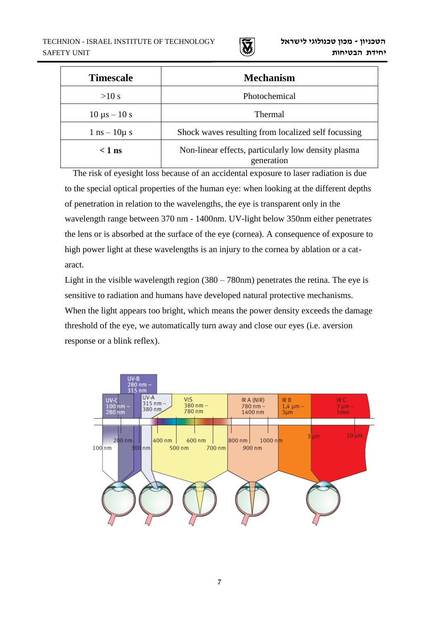

| <b>Timescale</b>                  | <b>Mechanism</b>                                                  |
|-----------------------------------|-------------------------------------------------------------------|
| >10 s                             | Photochemical                                                     |
| $10 \mu s - 10 s$                 | Thermal                                                           |
| $1 \text{ ns} - 10 \mu \text{ s}$ | Shock waves resulting from localized self focussing               |
| $< 1$ ns                          | Non-linear effects, particularly low density plasma<br>generation |

The risk of eyesight loss because of an accidental exposure to laser radiation is due to the special optical properties of the human eye: when looking at the different depths of penetration in relation to the wavelengths, the eye is transparent only in the wavelength range between 370 nm - 1400nm. UV-light below 350nm either penetrates the lens or is absorbed at the surface of the eye (cornea). A consequence of exposure to high power light at these wavelengths is an injury to the cornea by ablation or a cataract.

Light in the visible wavelength region (380 – 780nm) penetrates the retina. The eye is sensitive to radiation and humans have developed natural protective mechanisms. When the light appears too bright, which means the power density exceeds the damage threshold of the eye, we automatically turn away and close our eyes (i.e. aversion response or a blink reflex).

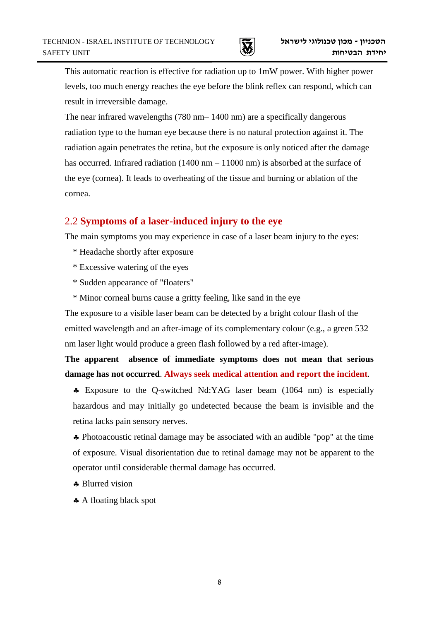

This automatic reaction is effective for radiation up to 1mW power. With higher power levels, too much energy reaches the eye before the blink reflex can respond, which can result in irreversible damage.

The near infrared wavelengths (780 nm– 1400 nm) are a specifically dangerous radiation type to the human eye because there is no natural protection against it. The radiation again penetrates the retina, but the exposure is only noticed after the damage has occurred. Infrared radiation  $(1400 \text{ nm} - 11000 \text{ nm})$  is absorbed at the surface of the eye (cornea). It leads to overheating of the tissue and burning or ablation of the cornea.

## 2.2 **Symptoms of a laser-induced injury to the eye**

The main symptoms you may experience in case of a laser beam injury to the eyes:

- \* Headache shortly after exposure
- \* Excessive watering of the eyes
- \* Sudden appearance of "floaters"
- \* Minor corneal burns cause a gritty feeling, like sand in the eye

The exposure to a visible laser beam can be detected by a bright colour flash of the emitted wavelength and an after-image of its complementary colour (e.g., a green 532 nm laser light would produce a green flash followed by a red after-image).

**The apparent absence of immediate symptoms does not mean that serious damage has not occurred**. **Always seek medical attention and report the incident**.

 Exposure to the Q-switched Nd:YAG laser beam (1064 nm) is especially hazardous and may initially go undetected because the beam is invisible and the retina lacks pain sensory nerves.

 Photoacoustic retinal damage may be associated with an audible "pop" at the time of exposure. Visual disorientation due to retinal damage may not be apparent to the operator until considerable thermal damage has occurred.

- \* Blurred vision
- A floating black spot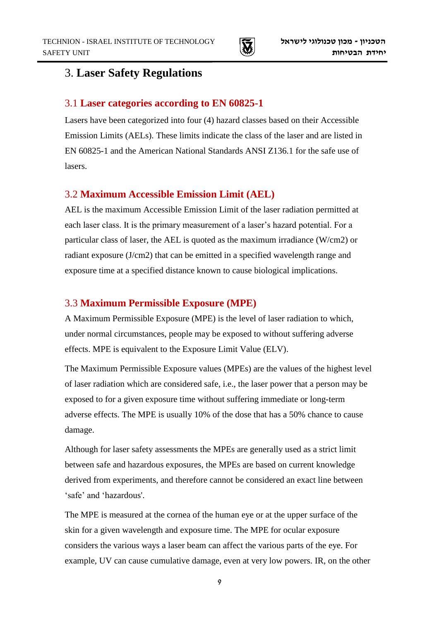

# 3. **Laser Safety Regulations**

#### 3.1 **Laser categories according to EN 60825-1**

Lasers have been categorized into four (4) hazard classes based on their Accessible Emission Limits (AELs). These limits indicate the class of the laser and are listed in EN 60825-1 and the American National Standards ANSI Z136.1 for the safe use of lasers.

### 3.2 **Maximum Accessible Emission Limit (AEL)**

AEL is the maximum Accessible Emission Limit of the laser radiation permitted at each laser class. It is the primary measurement of a laser's hazard potential. For a particular class of laser, the AEL is quoted as the maximum irradiance (W/cm2) or radiant exposure (J/cm2) that can be emitted in a specified wavelength range and exposure time at a specified distance known to cause biological implications.

### 3.3 **Maximum Permissible Exposure (MPE)**

A Maximum Permissible Exposure (MPE) is the level of laser radiation to which, under normal circumstances, people may be exposed to without suffering adverse effects. MPE is equivalent to the Exposure Limit Value (ELV).

The Maximum Permissible Exposure values (MPEs) are the values of the highest level of laser radiation which are considered safe, i.e., the laser power that a person may be exposed to for a given exposure time without suffering immediate or long-term adverse effects. The MPE is usually 10% of the dose that has a 50% chance to cause damage.

Although for laser safety assessments the MPEs are generally used as a strict limit between safe and hazardous exposures, the MPEs are based on current knowledge derived from experiments, and therefore cannot be considered an exact line between 'safe' and 'hazardous'.

The MPE is measured at the cornea of the human eye or at the upper surface of the skin for a given wavelength and exposure time. The MPE for ocular exposure considers the various ways a laser beam can affect the various parts of the eye. For example, UV can cause cumulative damage, even at very low powers. IR, on the other

9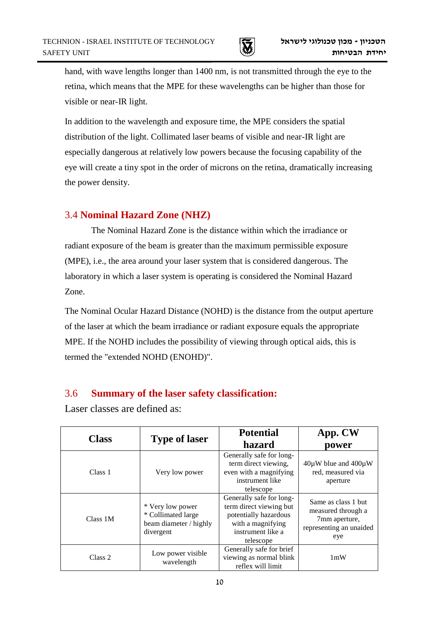

hand, with wave lengths longer than 1400 nm, is not transmitted through the eye to the retina, which means that the MPE for these wavelengths can be higher than those for visible or near-IR light.

In addition to the wavelength and exposure time, the MPE considers the spatial distribution of the light. Collimated laser beams of visible and near-IR light are especially dangerous at relatively low powers because the focusing capability of the eye will create a tiny spot in the order of microns on the retina, dramatically increasing the power density.

## 3.4 **Nominal Hazard Zone (NHZ)**

The Nominal Hazard Zone is the distance within which the irradiance or radiant exposure of the beam is greater than the maximum permissible exposure (MPE), i.e., the area around your laser system that is considered dangerous. The laboratory in which a laser system is operating is considered the Nominal Hazard Zone.

The Nominal Ocular Hazard Distance (NOHD) is the distance from the output aperture of the laser at which the beam irradiance or radiant exposure equals the appropriate MPE. If the NOHD includes the possibility of viewing through optical aids, this is termed the "extended NOHD (ENOHD)".

# 3.6 **Summary of the laser safety classification:**

Laser classes are defined as:

| <b>Class</b>       | <b>Type of laser</b>                                                          | <b>Potential</b><br>hazard                                                                                                          | App. CW<br>power                                                                             |
|--------------------|-------------------------------------------------------------------------------|-------------------------------------------------------------------------------------------------------------------------------------|----------------------------------------------------------------------------------------------|
| Class 1            | Very low power                                                                | Generally safe for long-<br>term direct viewing,<br>even with a magnifying<br>instrument like<br>telescope                          | $40\mu$ W blue and $400\mu$ W<br>red, measured via<br>aperture                               |
| Class 1M           | * Very low power<br>* Collimated large<br>beam diameter / highly<br>divergent | Generally safe for long-<br>term direct viewing but<br>potentially hazardous<br>with a magnifying<br>instrument like a<br>telescope | Same as class 1 but<br>measured through a<br>7mm aperture,<br>representing an unaided<br>eye |
| Class <sub>2</sub> | Low power visible<br>wavelength                                               | Generally safe for brief<br>viewing as normal blink<br>reflex will limit                                                            | 1mW                                                                                          |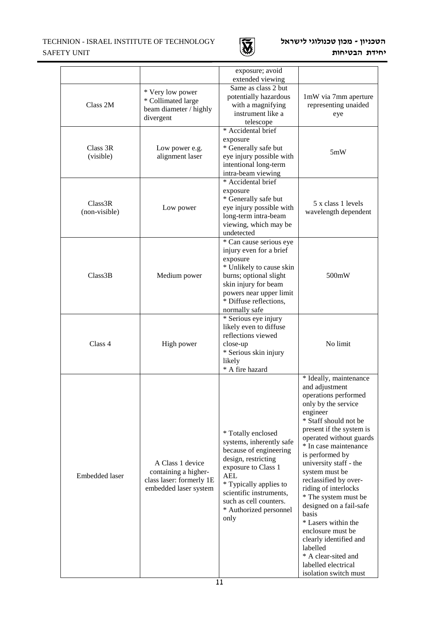#### TECHNION - ISRAEL INSTITUTE OF TECHNOLOGY SAFETY UNIT



#### **הטכניון - מכון טכנולוגי לישראל יחידת הבטיחות**

1

|                          |                                                                                               | exposure; avoid<br>extended viewing                                                                                                                                                                                                                   |                                                                                                                                                                                                                                                                                                                                                                                                                                                                                                                                                   |
|--------------------------|-----------------------------------------------------------------------------------------------|-------------------------------------------------------------------------------------------------------------------------------------------------------------------------------------------------------------------------------------------------------|---------------------------------------------------------------------------------------------------------------------------------------------------------------------------------------------------------------------------------------------------------------------------------------------------------------------------------------------------------------------------------------------------------------------------------------------------------------------------------------------------------------------------------------------------|
| Class 2M                 | * Very low power<br>* Collimated large<br>beam diameter / highly<br>divergent                 |                                                                                                                                                                                                                                                       | 1mW via 7mm aperture<br>representing unaided<br>eye                                                                                                                                                                                                                                                                                                                                                                                                                                                                                               |
| Class 3R<br>(visible)    | Low power e.g.<br>alignment laser                                                             | exposure<br>* Generally safe but<br>eye injury possible with<br>intentional long-term<br>intra-beam viewing                                                                                                                                           | 5mW                                                                                                                                                                                                                                                                                                                                                                                                                                                                                                                                               |
| Class3R<br>(non-visible) | Low power                                                                                     |                                                                                                                                                                                                                                                       | 5 x class 1 levels<br>wavelength dependent                                                                                                                                                                                                                                                                                                                                                                                                                                                                                                        |
| Class3B                  | Medium power                                                                                  | * Can cause serious eye<br>injury even for a brief<br>exposure<br>* Unlikely to cause skin<br>burns; optional slight<br>skin injury for beam<br>powers near upper limit<br>* Diffuse reflections,<br>normally safe                                    | 500mW                                                                                                                                                                                                                                                                                                                                                                                                                                                                                                                                             |
| Class 4                  | High power                                                                                    | * Serious eye injury<br>likely even to diffuse<br>reflections viewed<br>close-up<br>* Serious skin injury<br>likely<br>* A fire hazard                                                                                                                | No limit                                                                                                                                                                                                                                                                                                                                                                                                                                                                                                                                          |
| Embedded laser           | A Class 1 device<br>containing a higher-<br>class laser: formerly 1E<br>embedded laser system | * Totally enclosed<br>systems, inherently safe<br>because of engineering<br>design, restricting<br>exposure to Class 1<br><b>AEL</b><br>* Typically applies to<br>scientific instruments,<br>such as cell counters.<br>* Authorized personnel<br>only | * Ideally, maintenance<br>and adjustment<br>operations performed<br>only by the service<br>engineer<br>* Staff should not be<br>present if the system is<br>operated without guards<br>* In case maintenance<br>is performed by<br>university staff - the<br>system must be<br>reclassified by over-<br>riding of interlocks<br>* The system must be<br>designed on a fail-safe<br>basis<br>* Lasers within the<br>enclosure must be<br>clearly identified and<br>labelled<br>* A clear-sited and<br>labelled electrical<br>isolation switch must |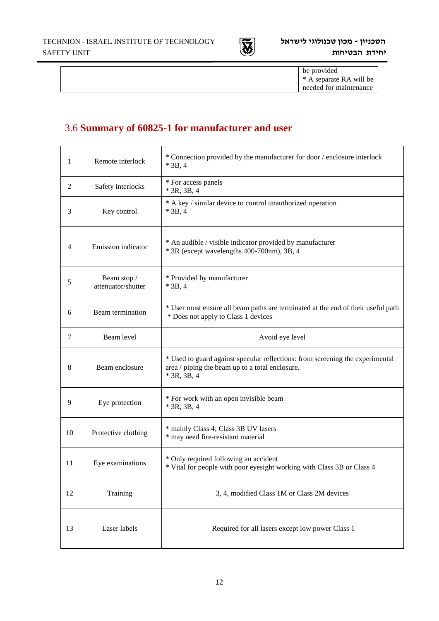

#### **הטכניון - מכון טכנולוגי לישראל יחידת הבטיחות**

|  | be provided             |
|--|-------------------------|
|  | * A separate RA will be |
|  | needed for maintenance  |
|  |                         |

# 3.6 **Summary of 60825-1 for manufacturer and user**

| 1              | Remote interlock                  | * Connection provided by the manufacturer for door / enclosure interlock<br>$*$ 3B, 4                                                             |
|----------------|-----------------------------------|---------------------------------------------------------------------------------------------------------------------------------------------------|
| $\overline{2}$ | Safety interlocks                 | * For access panels<br>$*$ 3R, 3B, 4                                                                                                              |
| 3              | Key control                       | * A key / similar device to control unauthorized operation<br>$*$ 3B, 4                                                                           |
| 4              | Emission indicator                | * An audible / visible indicator provided by manufacturer<br>* 3R (except wavelengths 400-700nm), 3B, 4                                           |
| 5              | Beam stop /<br>attenuator/shutter | * Provided by manufacturer<br>$*$ 3B, 4                                                                                                           |
| 6              | Beam termination                  | * User must ensure all beam paths are terminated at the end of their useful path<br>* Does not apply to Class 1 devices                           |
| 7              | Beam level                        | Avoid eye level                                                                                                                                   |
| 8              | Beam enclosure                    | * Used to guard against specular reflections: from screening the experimental<br>area / piping the beam up to a total enclosure.<br>$*$ 3R, 3B, 4 |
| 9              | Eye protection                    | * For work with an open invisible beam<br>$*$ 3R, 3B, 4                                                                                           |
| 10             | Protective clothing               | * mainly Class 4; Class 3B UV lasers<br>* may need fire-resistant material                                                                        |
| 11             | Eye examinations                  | * Only required following an accident<br>* Vital for people with poor eyesight working with Class 3B or Class 4                                   |
| 12             | Training                          | 3, 4, modified Class 1M or Class 2M devices                                                                                                       |
| 13             | Laser labels                      | Required for all lasers except low power Class 1                                                                                                  |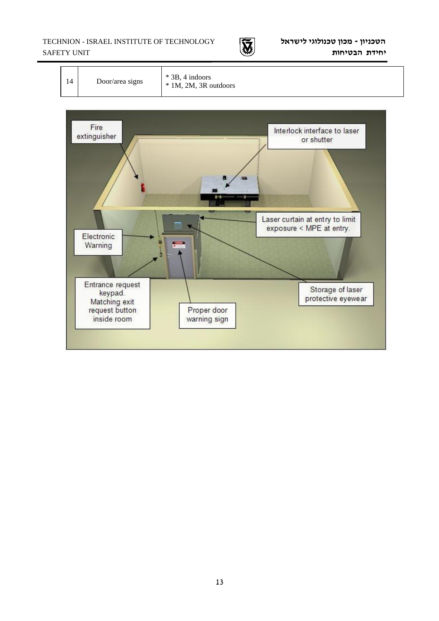TECHNION - ISRAEL INSTITUTE OF TECHNOLOGY SAFETY UNIT





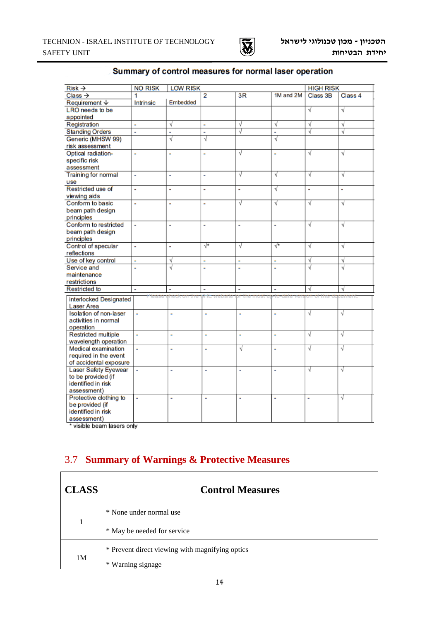

| $Risk \rightarrow$          | <b>NO RISK</b>               | <b>LOW RISK</b> |                          |              |           |          | <b>HIGH RISK</b> |  |
|-----------------------------|------------------------------|-----------------|--------------------------|--------------|-----------|----------|------------------|--|
| $Class \rightarrow$         | 1                            |                 | $\overline{2}$           | 3R           | 1M and 2M | Class 3B | Class 4          |  |
| <b>Requirement ↓</b>        | Embedded<br><b>Intrinsic</b> |                 |                          |              |           |          |                  |  |
| LRO needs to be             |                              |                 |                          |              |           | √        | √                |  |
| appointed                   |                              |                 |                          |              |           |          |                  |  |
| Registration                | à,                           | √               | ×                        | √            | √         | √        | √                |  |
| <b>Standing Orders</b>      | à.                           | i.              | à,                       | √            | à.        | √        | √                |  |
| Generic (MHSW 99)           |                              | V               | V                        |              | V         |          |                  |  |
| risk assessment             |                              |                 |                          |              |           |          |                  |  |
| Optical radiation-          | ÷                            | ÷,              | ÷,                       | V            | ä,        | √        | ν                |  |
| specific risk               |                              |                 |                          |              |           |          |                  |  |
| assessment                  |                              |                 |                          |              |           |          |                  |  |
| <b>Training for normal</b>  | à,                           | à,              | à,                       | √            | √         | √        | √                |  |
| use                         |                              |                 |                          |              |           |          |                  |  |
| Restricted use of           | ٠                            | ٠               | à,                       | ä,           | √         | ٠        | ÷                |  |
| viewing aids                |                              |                 |                          |              |           |          |                  |  |
| Conform to basic            | ÷                            | ÷               | ٠                        | √            | √         | √        | √                |  |
| beam path design            |                              |                 |                          |              |           |          |                  |  |
| principles                  |                              |                 |                          |              |           |          |                  |  |
| Conform to restricted       | ÷,                           | ٠               | $\overline{\phantom{a}}$ | à,           | ۰         | √        | √                |  |
| beam path design            |                              |                 |                          |              |           |          |                  |  |
| principles                  |                              |                 |                          |              |           |          |                  |  |
| Control of specular         | ÷,                           | ä,              | √*                       | V            | √*        | V        | V                |  |
| reflections                 |                              |                 |                          |              |           |          |                  |  |
| Use of key control          | ä,                           | V               | ÷,                       | ä,           | ä,        | V        | √                |  |
| Service and                 | L                            | √               | L,                       | L,           | L         | V        | √                |  |
| maintenance                 |                              |                 |                          |              |           |          |                  |  |
| restrictions                |                              |                 |                          |              |           |          |                  |  |
| <b>Restricted to</b>        | à,                           | ä,              | ٠                        | ä            | ä,        | V        |                  |  |
| interlocked Designated      | Hease                        |                 | <b>Will website</b>      | ipr-the-most | to=date   | יחס      | amen             |  |
| <b>Laser Area</b>           |                              |                 |                          |              |           |          |                  |  |
| Isolation of non-laser      | ÷                            | ۰               | ۰                        | ۰            |           | √        | V                |  |
| activities in normal        |                              |                 |                          |              |           |          |                  |  |
| operation                   |                              |                 |                          |              |           |          |                  |  |
| <b>Restricted multiple</b>  | ÷,                           | ä,              | ÷,                       | ä,           | ä,        | V        | V                |  |
| wavelength operation        |                              |                 |                          |              |           |          |                  |  |
| Medical examination         | ÷                            | ÷,              | ÷,                       | √            | ÷,        | √        | √                |  |
| required in the event       |                              |                 |                          |              |           |          |                  |  |
| of accidental exposure      |                              |                 |                          |              |           |          |                  |  |
| <b>Laser Safety Eyewear</b> | $\bar{a}$                    | ×.              | ÷,                       | à,           | ä,        | V        | √                |  |
| to be provided (if          |                              |                 |                          |              |           |          |                  |  |
| identified in risk          |                              |                 |                          |              |           |          |                  |  |
| assessment)                 |                              |                 |                          |              |           |          |                  |  |
| Protective clothing to      | ä,                           | ÷,              | ÷,                       | ä,           | ä,        | ä,       | V                |  |
| be provided (if             |                              |                 |                          |              |           |          |                  |  |
| identified in risk          |                              |                 |                          |              |           |          |                  |  |
| assessment)                 |                              |                 |                          |              |           |          |                  |  |

### Summary of control measures for normal laser operation

\* visible beam lasers only

# 3.7 **Summary of Warnings & Protective Measures**

| <b>CLASS</b>   | <b>Control Measures</b>                                                      |  |  |  |  |  |
|----------------|------------------------------------------------------------------------------|--|--|--|--|--|
| $\mathbf{1}$   | * None under normal use                                                      |  |  |  |  |  |
|                | * May be needed for service                                                  |  |  |  |  |  |
| 1 <sub>M</sub> | * Prevent direct viewing with magnifying optics<br>$\ast$<br>Warning signage |  |  |  |  |  |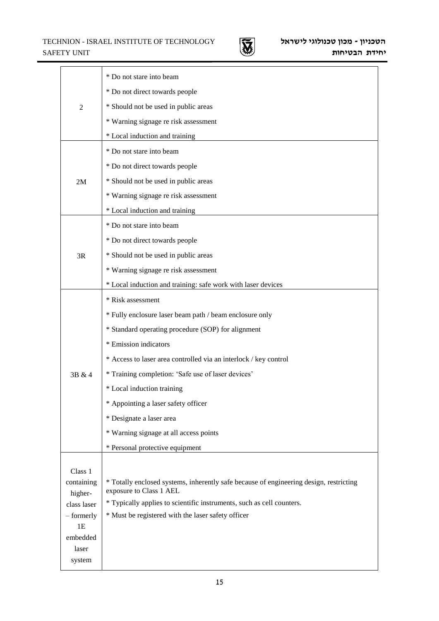#### TECHNION - ISRAEL INSTITUTE OF TECHNOLOGY SAFETY UNIT



1

|                           | * Do not stare into beam                                                                                                    |  |  |  |  |  |  |
|---------------------------|-----------------------------------------------------------------------------------------------------------------------------|--|--|--|--|--|--|
|                           | * Do not direct towards people                                                                                              |  |  |  |  |  |  |
| $\overline{2}$            | * Should not be used in public areas                                                                                        |  |  |  |  |  |  |
|                           | * Warning signage re risk assessment                                                                                        |  |  |  |  |  |  |
|                           | * Local induction and training                                                                                              |  |  |  |  |  |  |
|                           | * Do not stare into beam                                                                                                    |  |  |  |  |  |  |
|                           | * Do not direct towards people                                                                                              |  |  |  |  |  |  |
| 2M                        | * Should not be used in public areas                                                                                        |  |  |  |  |  |  |
|                           | * Warning signage re risk assessment                                                                                        |  |  |  |  |  |  |
|                           | * Local induction and training                                                                                              |  |  |  |  |  |  |
|                           | * Do not stare into beam                                                                                                    |  |  |  |  |  |  |
|                           | * Do not direct towards people                                                                                              |  |  |  |  |  |  |
| 3R                        | * Should not be used in public areas                                                                                        |  |  |  |  |  |  |
|                           | * Warning signage re risk assessment                                                                                        |  |  |  |  |  |  |
|                           | * Local induction and training: safe work with laser devices                                                                |  |  |  |  |  |  |
|                           | * Risk assessment                                                                                                           |  |  |  |  |  |  |
|                           | * Fully enclosure laser beam path / beam enclosure only                                                                     |  |  |  |  |  |  |
|                           | * Standard operating procedure (SOP) for alignment                                                                          |  |  |  |  |  |  |
|                           | * Emission indicators                                                                                                       |  |  |  |  |  |  |
|                           | * Access to laser area controlled via an interlock / key control                                                            |  |  |  |  |  |  |
| 3B & 4                    | * Training completion: 'Safe use of laser devices'                                                                          |  |  |  |  |  |  |
|                           | * Local induction training                                                                                                  |  |  |  |  |  |  |
|                           | * Appointing a laser safety officer                                                                                         |  |  |  |  |  |  |
|                           | * Designate a laser area                                                                                                    |  |  |  |  |  |  |
|                           | * Warning signage at all access points                                                                                      |  |  |  |  |  |  |
|                           | * Personal protective equipment                                                                                             |  |  |  |  |  |  |
| Class 1                   |                                                                                                                             |  |  |  |  |  |  |
| containing                | * Totally enclosed systems, inherently safe because of engineering design, restricting                                      |  |  |  |  |  |  |
| higher-                   | exposure to Class 1 AEL                                                                                                     |  |  |  |  |  |  |
| class laser<br>- formerly | * Typically applies to scientific instruments, such as cell counters.<br>* Must be registered with the laser safety officer |  |  |  |  |  |  |
| 1E                        |                                                                                                                             |  |  |  |  |  |  |
| embedded                  |                                                                                                                             |  |  |  |  |  |  |
| laser<br>system           |                                                                                                                             |  |  |  |  |  |  |
|                           |                                                                                                                             |  |  |  |  |  |  |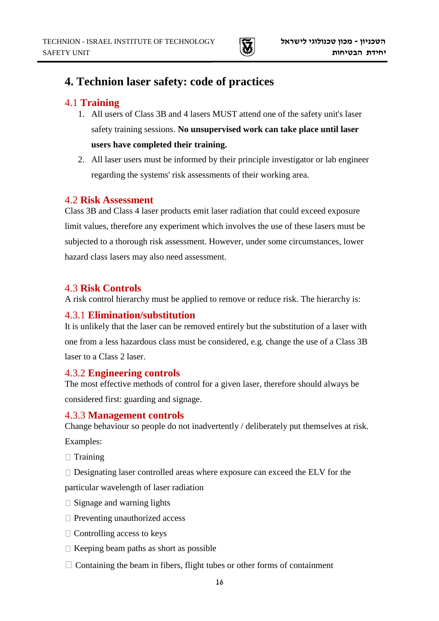

# **4. Technion laser safety: code of practices**

## 4.1 **Training**

- 1. All users of Class 3B and 4 lasers MUST attend one of the safety unit's laser safety training sessions. **No unsupervised work can take place until laser users have completed their training.**
- 2. All laser users must be informed by their principle investigator or lab engineer regarding the systems' risk assessments of their working area.

### 4.2 **Risk Assessment**

Class 3B and Class 4 laser products emit laser radiation that could exceed exposure limit values, therefore any experiment which involves the use of these lasers must be subjected to a thorough risk assessment. However, under some circumstances, lower hazard class lasers may also need assessment.

## 4.3 **Risk Controls**

A risk control hierarchy must be applied to remove or reduce risk. The hierarchy is:

## 4.3.1 **Elimination/substitution**

It is unlikely that the laser can be removed entirely but the substitution of a laser with one from a less hazardous class must be considered, e.g. change the use of a Class 3B laser to a Class 2 laser.

### 4.3.2 **Engineering controls**

The most effective methods of control for a given laser, therefore should always be considered first: guarding and signage.

### 4.3.3 **Management controls**

Change behaviour so people do not inadvertently / deliberately put themselves at risk.

Examples:

- $\Box$  Training
- $\Box$  Designating laser controlled areas where exposure can exceed the ELV for the

particular wavelength of laser radiation

- $\square$  Signage and warning lights
- $\Box$  Preventing unauthorized access
- $\Box$  Controlling access to keys
- $\Box$  Keeping beam paths as short as possible
- $\Box$  Containing the beam in fibers, flight tubes or other forms of containment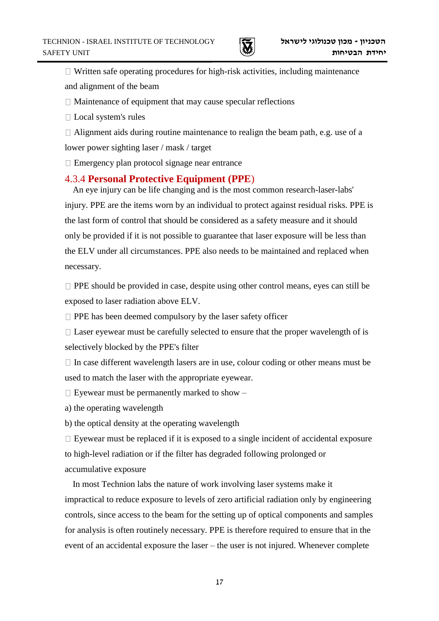

 $\Box$  Written safe operating procedures for high-risk activities, including maintenance and alignment of the beam

 $\Box$  Maintenance of equipment that may cause specular reflections

□ Local system's rules

 $\Box$  Alignment aids during routine maintenance to realign the beam path, e.g. use of a lower power sighting laser / mask / target

 $\Box$  Emergency plan protocol signage near entrance

### 4.3.4 **Personal Protective Equipment (PPE**)

An eye injury can be life changing and is the most common research-laser-labs' injury. PPE are the items worn by an individual to protect against residual risks. PPE is the last form of control that should be considered as a safety measure and it should only be provided if it is not possible to guarantee that laser exposure will be less than the ELV under all circumstances. PPE also needs to be maintained and replaced when necessary.

 $\Box$  PPE should be provided in case, despite using other control means, eyes can still be exposed to laser radiation above ELV.

 $\Box$  PPE has been deemed compulsory by the laser safety officer

 $\Box$  Laser eyewear must be carefully selected to ensure that the proper wavelength of is selectively blocked by the PPE's filter

 $\Box$  In case different wavelength lasers are in use, colour coding or other means must be used to match the laser with the appropriate eyewear.

 $\Box$  Eyewear must be permanently marked to show  $-\Box$ 

a) the operating wavelength

b) the optical density at the operating wavelength

 $\Box$  Eyewear must be replaced if it is exposed to a single incident of accidental exposure to high-level radiation or if the filter has degraded following prolonged or accumulative exposure

In most Technion labs the nature of work involving laser systems make it impractical to reduce exposure to levels of zero artificial radiation only by engineering controls, since access to the beam for the setting up of optical components and samples for analysis is often routinely necessary. PPE is therefore required to ensure that in the event of an accidental exposure the laser – the user is not injured. Whenever complete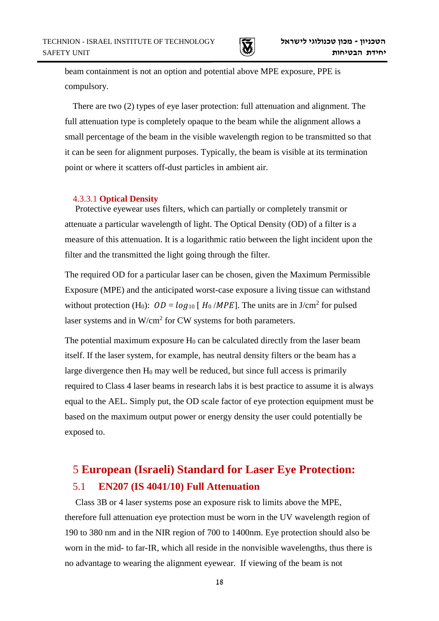

beam containment is not an option and potential above MPE exposure, PPE is compulsory.

There are two (2) types of eye laser protection: full attenuation and alignment. The full attenuation type is completely opaque to the beam while the alignment allows a small percentage of the beam in the visible wavelength region to be transmitted so that it can be seen for alignment purposes. Typically, the beam is visible at its termination point or where it scatters off-dust particles in ambient air.

#### 4.3.3.1 **Optical Density**

Protective eyewear uses filters, which can partially or completely transmit or attenuate a particular wavelength of light. The Optical Density (OD) of a filter is a measure of this attenuation. It is a logarithmic ratio between the light incident upon the filter and the transmitted the light going through the filter.

The required OD for a particular laser can be chosen, given the Maximum Permissible Exposure (MPE) and the anticipated worst-case exposure a living tissue can withstand without protection (H<sub>0</sub>):  $OD = log_{10} [H_0 / MPE]$ . The units are in J/cm<sup>2</sup> for pulsed laser systems and in  $W/cm^2$  for CW systems for both parameters.

The potential maximum exposure  $H_0$  can be calculated directly from the laser beam itself. If the laser system, for example, has neutral density filters or the beam has a large divergence then  $H_0$  may well be reduced, but since full access is primarily required to Class 4 laser beams in research labs it is best practice to assume it is always equal to the AEL. Simply put, the OD scale factor of eye protection equipment must be based on the maximum output power or energy density the user could potentially be exposed to.

# 5 **European (Israeli) Standard for Laser Eye Protection:** 5.1 **EN207 (IS 4041/10) Full Attenuation**

Class 3B or 4 laser systems pose an exposure risk to limits above the MPE, therefore full attenuation eye protection must be worn in the UV wavelength region of 190 to 380 nm and in the NIR region of 700 to 1400nm. Eye protection should also be worn in the mid- to far-IR, which all reside in the nonvisible wavelengths, thus there is no advantage to wearing the alignment eyewear. If viewing of the beam is not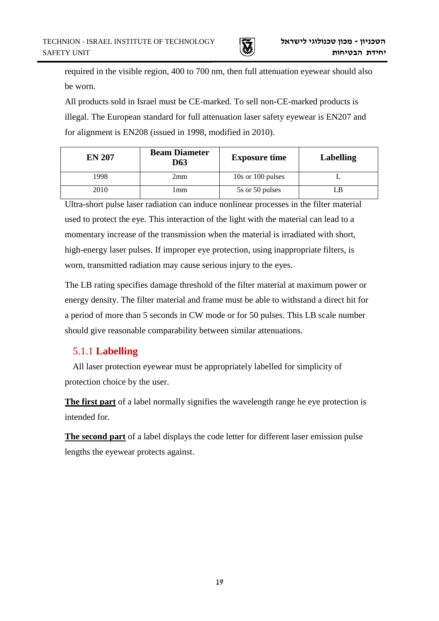

1 required in the visible region, 400 to 700 nm, then full attenuation eyewear should also be worn.

All products sold in Israel must be CE-marked. To sell non-CE-marked products is illegal. The European standard for full attenuation laser safety eyewear is EN207 and for alignment is EN208 (issued in 1998, modified in 2010).

| <b>EN 207</b> | <b>Beam Diameter</b><br>D63 | <b>Exposure time</b>  | <b>Labelling</b> |  |
|---------------|-----------------------------|-----------------------|------------------|--|
| 1998          | 2mm                         | $10s$ or $100$ pulses |                  |  |
| 2010          | l mm                        | 5s or 50 pulses       |                  |  |

Ultra-short pulse laser radiation can induce nonlinear processes in the filter material used to protect the eye. This interaction of the light with the material can lead to a momentary increase of the transmission when the material is irradiated with short, high-energy laser pulses. If improper eye protection, using inappropriate filters, is worn, transmitted radiation may cause serious injury to the eyes.

The LB rating specifies damage threshold of the filter material at maximum power or energy density. The filter material and frame must be able to withstand a direct hit for a period of more than 5 seconds in CW mode or for 50 pulses. This LB scale number should give reasonable comparability between similar attenuations.

# 5.1.1 **Labelling**

All laser protection eyewear must be appropriately labelled for simplicity of protection choice by the user.

**The first part** of a label normally signifies the wavelength range he eye protection is intended for.

**The second part** of a label displays the code letter for different laser emission pulse lengths the eyewear protects against.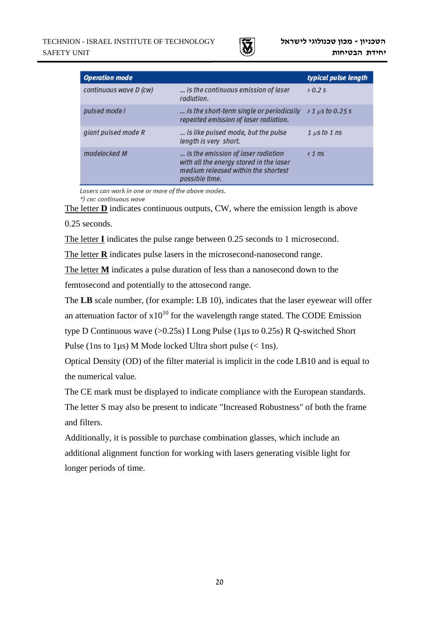

| <b>Operation mode</b>  |                                                                                                                                        | typical pulse length              |
|------------------------|----------------------------------------------------------------------------------------------------------------------------------------|-----------------------------------|
| continuous wave D (cw) | is the continuous emission of laser<br>radiation.                                                                                      | $\lambda$ 0.2 s                   |
| pulsed mode I          | is the short-term single or periodically<br>repeated emission of laser radiation.                                                      | $\frac{1}{2}$ 1 $\mu$ s to 0.25 s |
| giant pulsed mode R    | is like pulsed mode, but the pulse<br>length is very short.                                                                            | $1 \mu s$ to $1 \ n s$            |
| modelocked M           | is the emission of laser radiation<br>with all the energy stored in the laser<br>medium released within the shortest<br>possible time. | $\langle$ 1 ns                    |

Lasers can work in one or more of the above modes.

\*) cw: continuous wave

The letter **D** indicates continuous outputs, CW, where the emission length is above 0.25 seconds.

The letter **I** indicates the pulse range between 0.25 seconds to 1 microsecond.

The letter **R** indicates pulse lasers in the microsecond-nanosecond range.

The letter **M** indicates a pulse duration of less than a nanosecond down to the

femtosecond and potentially to the attosecond range.

The **LB** scale number, (for example: LB 10), indicates that the laser eyewear will offer

an attenuation factor of  $x10^{10}$  for the wavelength range stated. The CODE Emission

type D Continuous wave (>0.25s) I Long Pulse (1µs to 0.25s) R Q-switched Short

Pulse (1ns to 1 $\mu$ s) M Mode locked Ultra short pulse (< 1ns).

Optical Density (OD) of the filter material is implicit in the code LB10 and is equal to the numerical value.

The CE mark must be displayed to indicate compliance with the European standards.

The letter S may also be present to indicate "Increased Robustness" of both the frame and filters.

Additionally, it is possible to purchase combination glasses, which include an additional alignment function for working with lasers generating visible light for longer periods of time.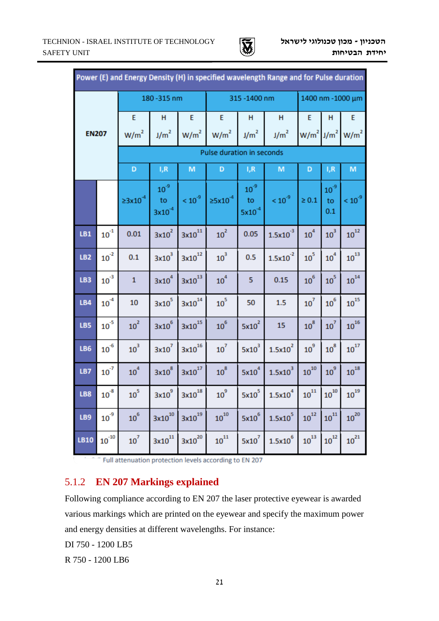

| Power (E) and Energy Density (H) in specified wavelength Range and for Pulse duration |                        |                         |                               |                  |                           |                               |                     |                          |                       |                  |  |
|---------------------------------------------------------------------------------------|------------------------|-------------------------|-------------------------------|------------------|---------------------------|-------------------------------|---------------------|--------------------------|-----------------------|------------------|--|
|                                                                                       |                        | 180-315 nm              |                               |                  |                           | 315-1400 nm                   |                     |                          | 1400 nm - 1000 μm     |                  |  |
|                                                                                       |                        | E                       | Н                             | E                | E                         | Н                             | Н                   | E                        | н                     | E                |  |
| <b>EN207</b>                                                                          |                        | W/m <sup>2</sup>        | J/m <sup>2</sup>              | W/m <sup>2</sup> | W/m <sup>2</sup>          | J/m <sup>2</sup>              | J/m <sup>2</sup>    | $W/m^2$ J/m <sup>2</sup> |                       | W/m <sup>2</sup> |  |
|                                                                                       |                        |                         |                               |                  | Pulse duration in seconds |                               |                     |                          |                       |                  |  |
|                                                                                       |                        | D                       | I,R                           | M                | D                         | I,R                           | M                   | D                        | I,R                   | M                |  |
|                                                                                       |                        | $\geq 3 \times 10^{-4}$ | $10^{3}$<br>to<br>$3x10^{-4}$ | $\leq 10^{-9}$   | ≥5x10 <sup>-4</sup>       | $10^{3}$<br>to<br>$5x10^{-4}$ | $< 10^{-9}$         | $\geq 0.1$               | $10^{3}$<br>to<br>0.1 | $\leq 10^{-9}$   |  |
| LB1                                                                                   | ${\bf 10}^{\text{-}1}$ | 0.01                    | $3x10^2$                      | $3x10^{11}$      | $10^2$                    | 0.05                          | $1.5x10^{-3}$       | 10 <sup>4</sup>          | $10^3$                | $10^{12}$        |  |
| LB <sub>2</sub>                                                                       | $10^{2}$               | 0.1                     | $3x10^3$                      | $3x10^{12}$      | $10^3$                    | 0.5                           | $1.5x10^{-2}$       | 10 <sup>5</sup>          | ${\bf 10}^4$          | $10^{13}$        |  |
| LB3                                                                                   | $10^{-3}$              | $\mathbf{1}$            | $3x10^4$                      | $3x10^{13}$      | ${\bf 10}^4$              | 5                             | 0.15                | $10^6$                   | $10^5\,$              | $10^{14}$        |  |
| LB4                                                                                   | $10^{-4}$              | 10                      | $3x10^5$                      | $3x10^{14}$      | ${\bf 10}^5$              | 50                            | 1.5                 | $10^7$                   | $10^6$                | $10^{15}$        |  |
| LB5                                                                                   | $10^{-5}$              | $10^2$                  | $3x10^6$                      | $3x10^{15}$      | $10^6$                    | $5x10^2$                      | 15                  | $10^8\,$                 | $10^7$                | $10^{16}$        |  |
| LB6                                                                                   | $10^{-6}$              | $10^3$                  | $3x10^7$                      | $3x10^{16}$      | $10^7$                    | $5x10^3$                      | $1.5x10^2$          | $10^9\,$                 | ${\bf 10}^{\bf 8}$    | $10^{17}$        |  |
| LB7                                                                                   | $10^{7}$               | $10^4$                  | $3x10^8$                      | $3x10^{17}$      | $10^8$                    | $5x10^4$                      | $1.5x10^3$          | $10^{10}$                | $10^9$                | $10^{18}$        |  |
| LB8                                                                                   | ${\bf 10}^{\text{-}8}$ | ${\bf 10}^5$            | $3x10^9$                      | $3x10^{18}$      | $10^9$                    | $5x10^5$                      | 1.5x10 <sup>4</sup> | $10^{11}$                | ${\bf 10}^{10}$       | $10^{19}$        |  |
| LB9                                                                                   | ${\bf 10}^{\text{-9}}$ | $10^6$                  | $3x10^{10}$                   | $3x10^{19}$      | $10^{10}$                 | $5x10^6$                      | $1.5x10^5$          | $10^{12}$                | $10^{11}$             | $10^{20}$        |  |
| LB10                                                                                  | $10^{10}$              | $10^7$                  | $3\times10^{11}$              | $3x10^{20}$      | ${\bf 10}^{11}$           | $5x10^7$                      | $1.5 \times 10^6$   | $10^{13}$                | $10^{12}$             | $10^{21}$        |  |

<sup>-</sup> Full attenuation protection levels according to EN 207

## 5.1.2 **EN 207 Markings explained**

Following compliance according to EN 207 the laser protective eyewear is awarded various markings which are printed on the eyewear and specify the maximum power and energy densities at different wavelengths. For instance:

DI 750 - 1200 LB5

R 750 - 1200 LB6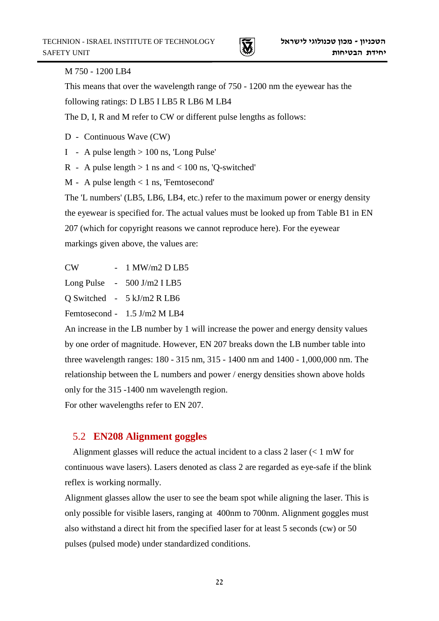

#### M 750 - 1200 LB4

This means that over the wavelength range of 750 - 1200 nm the eyewear has the following ratings: D LB5 I LB5 R LB6 M LB4

The D, I, R and M refer to CW or different pulse lengths as follows:

D - Continuous Wave (CW)

I - A pulse length > 100 ns, 'Long Pulse'

R - A pulse length  $> 1$  ns and  $< 100$  ns, 'Q-switched'

M - A pulse length < 1 ns, 'Femtosecond'

The 'L numbers' (LB5, LB6, LB4, etc.) refer to the maximum power or energy density the eyewear is specified for. The actual values must be looked up from Table B1 in EN 207 (which for copyright reasons we cannot reproduce here). For the eyewear markings given above, the values are:

CW - 1 MW/m2 D LB5

Long Pulse - 500 J/m2 I LB5

Q Switched - 5 kJ/m2 R LB6

Femtosecond - 1.5 J/m2 M LB4

An increase in the LB number by 1 will increase the power and energy density values by one order of magnitude. However, EN 207 breaks down the LB number table into three wavelength ranges: 180 - 315 nm, 315 - 1400 nm and 1400 - 1,000,000 nm. The relationship between the L numbers and power / energy densities shown above holds only for the 315 -1400 nm wavelength region.

For other wavelengths refer to EN 207.

### 5.2 **EN208 Alignment goggles**

Alignment glasses will reduce the actual incident to a class 2 laser (< 1 mW for continuous wave lasers). Lasers denoted as class 2 are regarded as eye-safe if the blink reflex is working normally.

Alignment glasses allow the user to see the beam spot while aligning the laser. This is only possible for visible lasers, ranging at 400nm to 700nm. Alignment goggles must also withstand a direct hit from the specified laser for at least 5 seconds (cw) or 50 pulses (pulsed mode) under standardized conditions.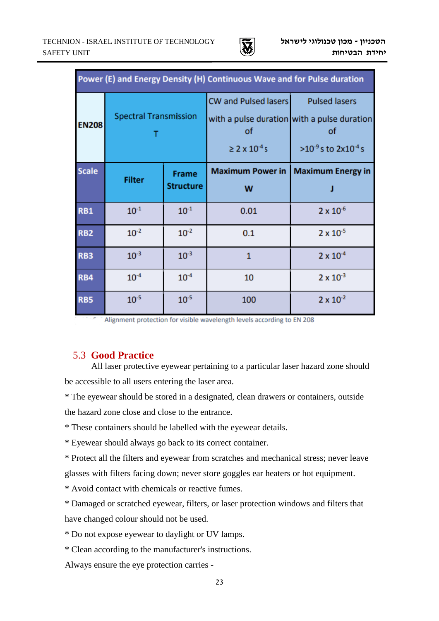

| Power (E) and Energy Density (H) Continuous Wave and for Pulse duration |                              |                                  |                                                                    |                                                                                                                   |  |  |  |
|-------------------------------------------------------------------------|------------------------------|----------------------------------|--------------------------------------------------------------------|-------------------------------------------------------------------------------------------------------------------|--|--|--|
| <b>EN208</b>                                                            | <b>Spectral Transmission</b> |                                  | CW and Pulsed lasers<br><b>of</b><br>$\geq$ 2 x 10 <sup>-4</sup> s | <b>Pulsed lasers</b><br>with a pulse duration with a pulse duration<br>οf<br>$>10^{-9}$ s to 2x10 <sup>-4</sup> s |  |  |  |
| <b>Scale</b>                                                            | <b>Filter</b>                | <b>Frame</b><br><b>Structure</b> | W                                                                  | Maximum Power in   Maximum Energy in                                                                              |  |  |  |
| <b>RB1</b>                                                              | $10^{-1}$                    | $10^{-1}$                        | 0.01                                                               | $2 \times 10^{-6}$                                                                                                |  |  |  |
| <b>RB2</b>                                                              | $10^{-2}$                    | $10^{-2}$                        | 0.1                                                                | $2 \times 10^{-5}$                                                                                                |  |  |  |
| RB3                                                                     | $10^{-3}$                    | $10^{-3}$                        | $\mathbf{1}$                                                       | $2 \times 10^{-4}$                                                                                                |  |  |  |
| <b>RB4</b>                                                              | $10^{-4}$                    | $10^{-4}$                        | 10                                                                 | $2 \times 10^{-3}$                                                                                                |  |  |  |
| <b>RB5</b>                                                              | $10^{-5}$                    | $10^{-5}$                        | 100                                                                | $2 \times 10^{-2}$                                                                                                |  |  |  |

Alignment protection for visible wavelength levels according to EN 208

#### 5.3 **Good Practice**

All laser protective eyewear pertaining to a particular laser hazard zone should be accessible to all users entering the laser area.

\* The eyewear should be stored in a designated, clean drawers or containers, outside the hazard zone close and close to the entrance.

\* These containers should be labelled with the eyewear details.

\* Eyewear should always go back to its correct container.

\* Protect all the filters and eyewear from scratches and mechanical stress; never leave glasses with filters facing down; never store goggles ear heaters or hot equipment.

\* Avoid contact with chemicals or reactive fumes.

\* Damaged or scratched eyewear, filters, or laser protection windows and filters that have changed colour should not be used.

\* Do not expose eyewear to daylight or UV lamps.

\* Clean according to the manufacturer's instructions.

Always ensure the eye protection carries -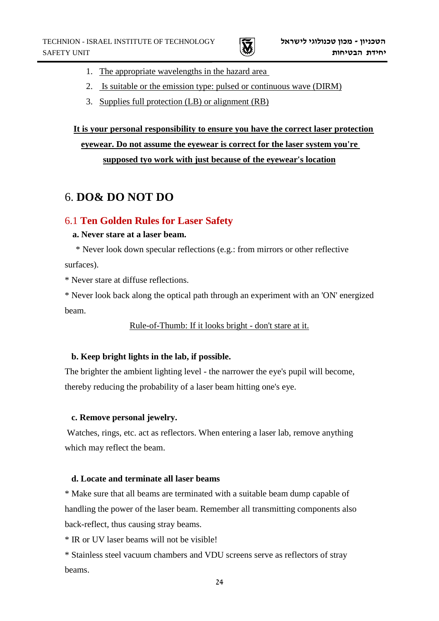- 1. The appropriate wavelengths in the hazard area
- 2. Is suitable or the emission type: pulsed or continuous wave (DIRM)
- 3. Supplies full protection (LB) or alignment (RB)

# **It is your personal responsibility to ensure you have the correct laser protection eyewear. Do not assume the eyewear is correct for the laser system you're supposed tyo work with just because of the eyewear's location**

# 6. **DO& DO NOT DO**

### 6.1 **Ten Golden Rules for Laser Safety**

#### **a. Never stare at a laser beam.**

 \* Never look down specular reflections (e.g.: from mirrors or other reflective surfaces).

\* Never stare at diffuse reflections.

\* Never look back along the optical path through an experiment with an 'ON' energized beam.

Rule-of-Thumb: If it looks bright - don't stare at it.

### **b. Keep bright lights in the lab, if possible.**

The brighter the ambient lighting level - the narrower the eye's pupil will become, thereby reducing the probability of a laser beam hitting one's eye.

### **c. Remove personal jewelry.**

Watches, rings, etc. act as reflectors. When entering a laser lab, remove anything which may reflect the beam.

#### **d. Locate and terminate all laser beams**

\* Make sure that all beams are terminated with a suitable beam dump capable of handling the power of the laser beam. Remember all transmitting components also back-reflect, thus causing stray beams.

\* IR or UV laser beams will not be visible!

\* Stainless steel vacuum chambers and VDU screens serve as reflectors of stray beams.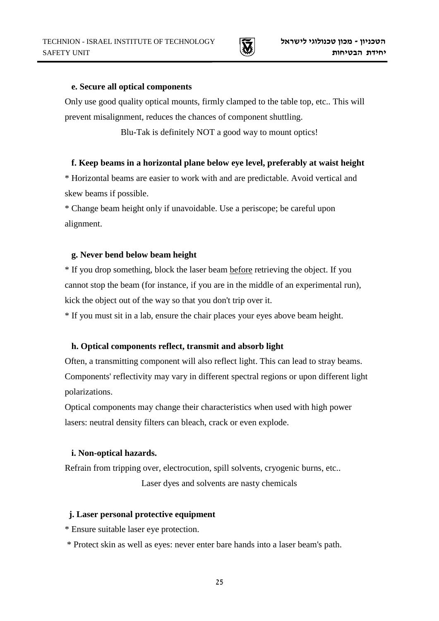

#### **e. Secure all optical components**

Only use good quality optical mounts, firmly clamped to the table top, etc.. This will prevent misalignment, reduces the chances of component shuttling.

Blu-Tak is definitely NOT a good way to mount optics!

#### **f. Keep beams in a horizontal plane below eye level, preferably at waist height**

\* Horizontal beams are easier to work with and are predictable. Avoid vertical and skew beams if possible.

\* Change beam height only if unavoidable. Use a periscope; be careful upon alignment.

#### **g. Never bend below beam height**

\* If you drop something, block the laser beam before retrieving the object. If you cannot stop the beam (for instance, if you are in the middle of an experimental run), kick the object out of the way so that you don't trip over it.

\* If you must sit in a lab, ensure the chair places your eyes above beam height.

#### **h. Optical components reflect, transmit and absorb light**

Often, a transmitting component will also reflect light. This can lead to stray beams. Components' reflectivity may vary in different spectral regions or upon different light polarizations.

Optical components may change their characteristics when used with high power lasers: neutral density filters can bleach, crack or even explode.

#### **i. Non-optical hazards.**

Refrain from tripping over, electrocution, spill solvents, cryogenic burns, etc..

Laser dyes and solvents are nasty chemicals

#### **j. Laser personal protective equipment**

\* Ensure suitable laser eye protection.

\* Protect skin as well as eyes: never enter bare hands into a laser beam's path.